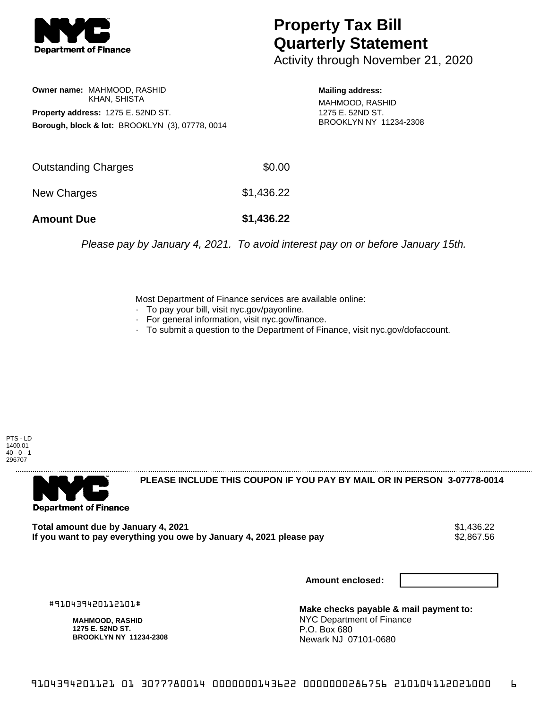

## **Property Tax Bill Quarterly Statement**

Activity through November 21, 2020

**Owner name:** MAHMOOD, RASHID KHAN, SHISTA **Property address:** 1275 E. 52ND ST. **Borough, block & lot:** BROOKLYN (3), 07778, 0014

**Mailing address:** MAHMOOD, RASHID 1275 E. 52ND ST. BROOKLYN NY 11234-2308

| <b>Amount Due</b>          | \$1,436.22 |
|----------------------------|------------|
| New Charges                | \$1,436.22 |
| <b>Outstanding Charges</b> | \$0.00     |

Please pay by January 4, 2021. To avoid interest pay on or before January 15th.

Most Department of Finance services are available online:

- · To pay your bill, visit nyc.gov/payonline.
- For general information, visit nyc.gov/finance.
- · To submit a question to the Department of Finance, visit nyc.gov/dofaccount.

PTS - LD 1400.01  $40 - 0 - 1$ 296707



**PLEASE INCLUDE THIS COUPON IF YOU PAY BY MAIL OR IN PERSON 3-07778-0014** 

**Total amount due by January 4, 2021**<br>If you want to pay everything you owe by January 4, 2021 please pay **1998** \$2,867.56 If you want to pay everything you owe by January 4, 2021 please pay

**Amount enclosed:**

#910439420112101#

**MAHMOOD, RASHID 1275 E. 52ND ST. BROOKLYN NY 11234-2308**

**Make checks payable & mail payment to:** NYC Department of Finance P.O. Box 680 Newark NJ 07101-0680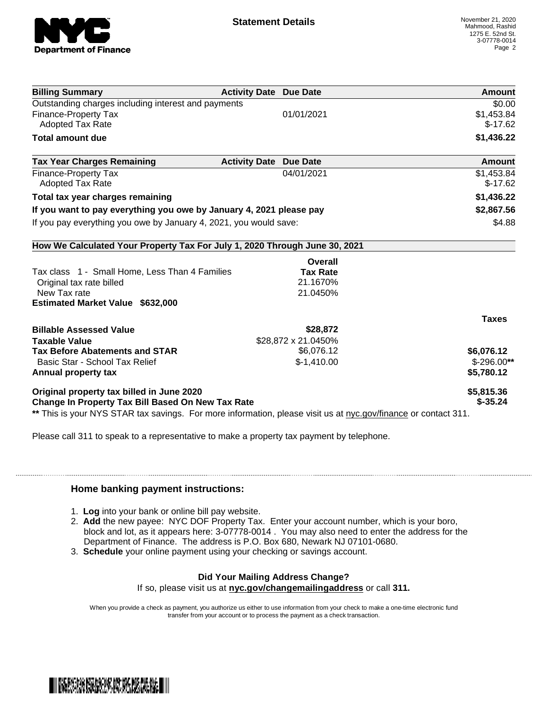

| <b>Billing Summary</b>                                                     | <b>Activity Date Due Date</b> | Amount        |
|----------------------------------------------------------------------------|-------------------------------|---------------|
| Outstanding charges including interest and payments                        |                               | \$0.00        |
| Finance-Property Tax                                                       | 01/01/2021                    | \$1,453.84    |
| <b>Adopted Tax Rate</b>                                                    |                               | $$-17.62$     |
| <b>Total amount due</b>                                                    |                               | \$1,436.22    |
| <b>Tax Year Charges Remaining</b><br><b>Activity Date</b>                  | <b>Due Date</b>               | <b>Amount</b> |
| <b>Finance-Property Tax</b>                                                | 04/01/2021                    | \$1,453.84    |
| <b>Adopted Tax Rate</b>                                                    |                               | $$-17.62$     |
| Total tax year charges remaining                                           |                               | \$1,436.22    |
| If you want to pay everything you owe by January 4, 2021 please pay        |                               | \$2,867.56    |
| If you pay everything you owe by January 4, 2021, you would save:          |                               | \$4.88        |
| How We Calculated Your Property Tax For July 1, 2020 Through June 30, 2021 |                               |               |
|                                                                            | Overall                       |               |
| Tax class 1 - Small Home, Less Than 4 Families                             | <b>Tax Rate</b>               |               |
| Original tax rate billed                                                   | 21.1670%                      |               |
| New Tax rate                                                               | 21.0450%                      |               |
| <b>Estimated Market Value \$632,000</b>                                    |                               |               |
|                                                                            |                               | <b>Taxes</b>  |
| <b>Billable Assessed Value</b>                                             | \$28,872                      |               |
| <b>Taxable Value</b>                                                       | \$28,872 x 21.0450%           |               |
| <b>Tax Before Abatements and STAR</b>                                      | \$6,076.12                    | \$6,076.12    |
| Basic Star - School Tax Relief                                             | $$-1,410.00$                  | $$-296.00**$  |
| Annual property tax                                                        |                               | \$5,780.12    |
| Original property tax billed in June 2020                                  |                               | \$5,815.36    |
| <b>Change In Property Tax Bill Based On New Tax Rate</b>                   |                               | $$-35.24$     |

Please call 311 to speak to a representative to make a property tax payment by telephone.

## **Home banking payment instructions:**

- 1. **Log** into your bank or online bill pay website.
- 2. **Add** the new payee: NYC DOF Property Tax. Enter your account number, which is your boro, block and lot, as it appears here: 3-07778-0014 . You may also need to enter the address for the Department of Finance. The address is P.O. Box 680, Newark NJ 07101-0680.
- 3. **Schedule** your online payment using your checking or savings account.

## **Did Your Mailing Address Change?**

If so, please visit us at **nyc.gov/changemailingaddress** or call **311.**

When you provide a check as payment, you authorize us either to use information from your check to make a one-time electronic fund transfer from your account or to process the payment as a check transaction.